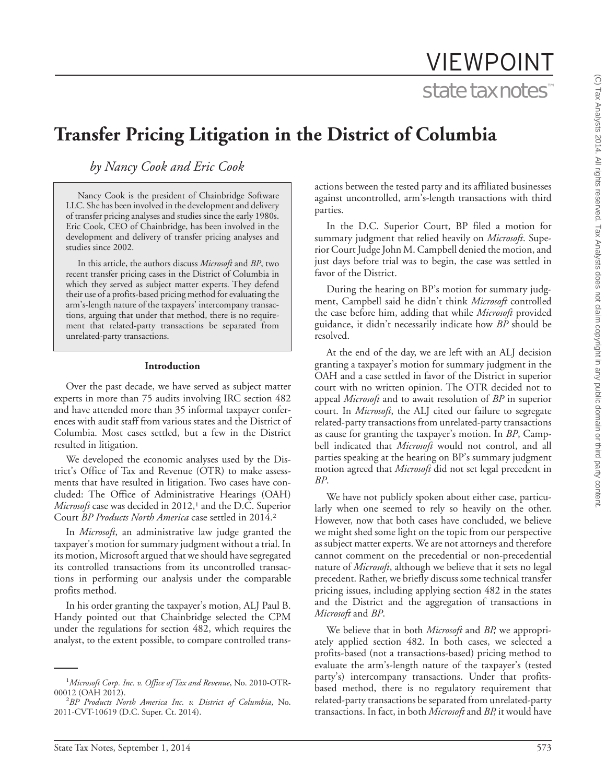# VIEWPOINT state tax notes™

## **Transfer Pricing Litigation in the District of Columbia**

*by Nancy Cook and Eric Cook*

Nancy Cook is the president of Chainbridge Software LLC. She has been involved in the development and delivery of transfer pricing analyses and studies since the early 1980s. Eric Cook, CEO of Chainbridge, has been involved in the development and delivery of transfer pricing analyses and studies since 2002.

In this article, the authors discuss *Microsoft* and *BP*, two recent transfer pricing cases in the District of Columbia in which they served as subject matter experts. They defend their use of a profits-based pricing method for evaluating the arm's-length nature of the taxpayers' intercompany transactions, arguing that under that method, there is no requirement that related-party transactions be separated from unrelated-party transactions.

#### **Introduction**

Over the past decade, we have served as subject matter experts in more than 75 audits involving IRC section 482 and have attended more than 35 informal taxpayer conferences with audit staff from various states and the District of Columbia. Most cases settled, but a few in the District resulted in litigation.

We developed the economic analyses used by the District's Office of Tax and Revenue (OTR) to make assessments that have resulted in litigation. Two cases have concluded: The Office of Administrative Hearings (OAH) *Microsoft* case was decided in 2012,<sup>1</sup> and the D.C. Superior Court *BP Products North America* case settled in 2014.2

In *Microsoft*, an administrative law judge granted the taxpayer's motion for summary judgment without a trial. In its motion, Microsoft argued that we should have segregated its controlled transactions from its uncontrolled transactions in performing our analysis under the comparable profits method.

In his order granting the taxpayer's motion, ALJ Paul B. Handy pointed out that Chainbridge selected the CPM under the regulations for section 482, which requires the analyst, to the extent possible, to compare controlled transactions between the tested party and its affiliated businesses against uncontrolled, arm's-length transactions with third parties.

In the D.C. Superior Court, BP filed a motion for summary judgment that relied heavily on *Microsoft*. Superior Court Judge John M. Campbell denied the motion, and just days before trial was to begin, the case was settled in favor of the District.

During the hearing on BP's motion for summary judgment, Campbell said he didn't think *Microsoft* controlled the case before him, adding that while *Microsoft* provided guidance, it didn't necessarily indicate how *BP* should be resolved.

At the end of the day, we are left with an ALJ decision granting a taxpayer's motion for summary judgment in the OAH and a case settled in favor of the District in superior court with no written opinion. The OTR decided not to appeal *Microsoft* and to await resolution of *BP* in superior court. In *Microsoft*, the ALJ cited our failure to segregate related-party transactions from unrelated-party transactions as cause for granting the taxpayer's motion. In *BP*, Campbell indicated that *Microsoft* would not control, and all parties speaking at the hearing on BP's summary judgment motion agreed that *Microsoft* did not set legal precedent in *BP*.

We have not publicly spoken about either case, particularly when one seemed to rely so heavily on the other. However, now that both cases have concluded, we believe we might shed some light on the topic from our perspective as subject matter experts. We are not attorneys and therefore cannot comment on the precedential or non-precedential nature of *Microsoft*, although we believe that it sets no legal precedent. Rather, we briefly discuss some technical transfer pricing issues, including applying section 482 in the states and the District and the aggregation of transactions in *Microsoft* and *BP*.

We believe that in both *Microsoft* and *BP,* we appropriately applied section 482. In both cases, we selected a profits-based (not a transactions-based) pricing method to evaluate the arm's-length nature of the taxpayer's (tested party's) intercompany transactions. Under that profitsbased method, there is no regulatory requirement that related-party transactions be separated from unrelated-party transactions. In fact, in both *Microsoft* and *BP,* it would have

<sup>&</sup>lt;sup>1</sup>Microsoft Corp. Inc. v. Office of Tax and Revenue, No. 2010-OTR-00012 (OAH 2012).

*BP Products North America Inc. v. District of Columbia*, No. 2011-CVT-10619 (D.C. Super. Ct. 2014).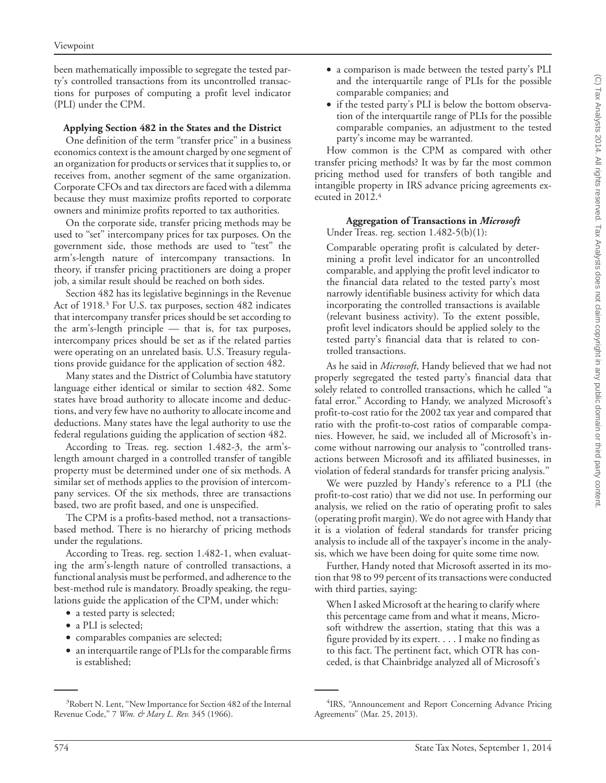been mathematically impossible to segregate the tested party's controlled transactions from its uncontrolled transactions for purposes of computing a profit level indicator (PLI) under the CPM.

#### **Applying Section 482 in the States and the District**

One definition of the term ''transfer price'' in a business economics context is the amount charged by one segment of an organization for products or services that it supplies to, or receives from, another segment of the same organization. Corporate CFOs and tax directors are faced with a dilemma because they must maximize profits reported to corporate owners and minimize profits reported to tax authorities.

On the corporate side, transfer pricing methods may be used to "set" intercompany prices for tax purposes. On the government side, those methods are used to ''test'' the arm's-length nature of intercompany transactions. In theory, if transfer pricing practitioners are doing a proper job, a similar result should be reached on both sides.

Section 482 has its legislative beginnings in the Revenue Act of 1918.3 For U.S. tax purposes, section 482 indicates that intercompany transfer prices should be set according to the arm's-length principle — that is, for tax purposes, intercompany prices should be set as if the related parties were operating on an unrelated basis. U.S. Treasury regulations provide guidance for the application of section 482.

Many states and the District of Columbia have statutory language either identical or similar to section 482. Some states have broad authority to allocate income and deductions, and very few have no authority to allocate income and deductions. Many states have the legal authority to use the federal regulations guiding the application of section 482.

According to Treas. reg. section 1.482-3, the arm'slength amount charged in a controlled transfer of tangible property must be determined under one of six methods. A similar set of methods applies to the provision of intercompany services. Of the six methods, three are transactions based, two are profit based, and one is unspecified.

The CPM is a profits-based method, not a transactionsbased method. There is no hierarchy of pricing methods under the regulations.

According to Treas. reg. section 1.482-1, when evaluating the arm's-length nature of controlled transactions, a functional analysis must be performed, and adherence to the best-method rule is mandatory. Broadly speaking, the regulations guide the application of the CPM, under which:

- a tested party is selected;
- a PLI is selected;
- comparables companies are selected;
- an interquartile range of PLIs for the comparable firms is established;
- a comparison is made between the tested party's PLI and the interquartile range of PLIs for the possible comparable companies; and
- if the tested party's PLI is below the bottom observation of the interquartile range of PLIs for the possible comparable companies, an adjustment to the tested party's income may be warranted.

How common is the CPM as compared with other transfer pricing methods? It was by far the most common pricing method used for transfers of both tangible and intangible property in IRS advance pricing agreements executed in 2012.4

### **Aggregation of Transactions in** *Microsoft*

Under Treas. reg. section 1.482-5(b)(1):

Comparable operating profit is calculated by determining a profit level indicator for an uncontrolled comparable, and applying the profit level indicator to the financial data related to the tested party's most narrowly identifiable business activity for which data incorporating the controlled transactions is available (relevant business activity). To the extent possible, profit level indicators should be applied solely to the tested party's financial data that is related to controlled transactions.

As he said in *Microsoft*, Handy believed that we had not properly segregated the tested party's financial data that solely related to controlled transactions, which he called ''a fatal error.'' According to Handy, we analyzed Microsoft's profit-to-cost ratio for the 2002 tax year and compared that ratio with the profit-to-cost ratios of comparable companies. However, he said, we included all of Microsoft's income without narrowing our analysis to ''controlled transactions between Microsoft and its affiliated businesses, in violation of federal standards for transfer pricing analysis.''

We were puzzled by Handy's reference to a PLI (the profit-to-cost ratio) that we did not use. In performing our analysis, we relied on the ratio of operating profit to sales (operating profit margin). We do not agree with Handy that it is a violation of federal standards for transfer pricing analysis to include all of the taxpayer's income in the analysis, which we have been doing for quite some time now.

Further, Handy noted that Microsoft asserted in its motion that 98 to 99 percent of its transactions were conducted with third parties, saying:

When I asked Microsoft at the hearing to clarify where this percentage came from and what it means, Microsoft withdrew the assertion, stating that this was a figure provided by its expert....I make no finding as to this fact. The pertinent fact, which OTR has conceded, is that Chainbridge analyzed all of Microsoft's

<sup>&</sup>lt;sup>3</sup>Robert N. Lent, "New Importance for Section 482 of the Internal Revenue Code,'' 7 *Wm. & Mary L. Rev.* 345 (1966).

<sup>&</sup>lt;sup>4</sup>IRS, "Announcement and Report Concerning Advance Pricing Agreements'' (Mar. 25, 2013).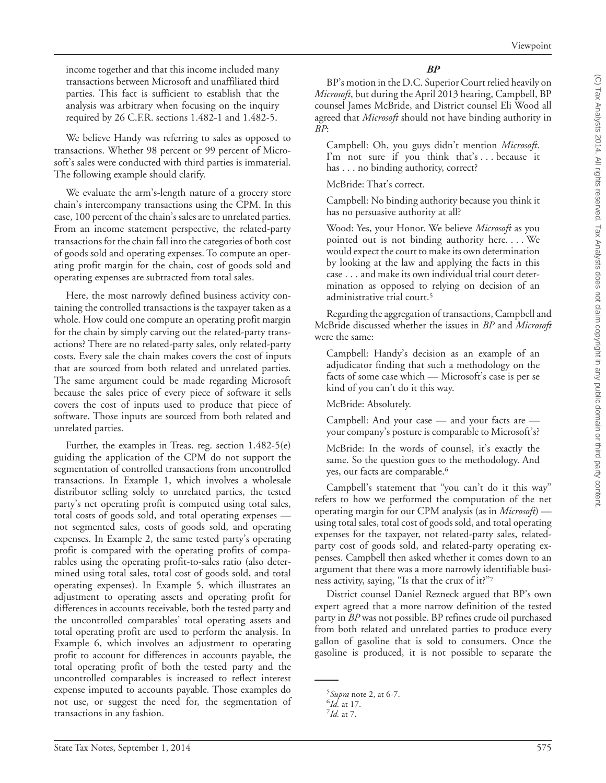income together and that this income included many transactions between Microsoft and unaffiliated third parties. This fact is sufficient to establish that the analysis was arbitrary when focusing on the inquiry required by 26 C.F.R. sections 1.482-1 and 1.482-5.

We believe Handy was referring to sales as opposed to transactions. Whether 98 percent or 99 percent of Microsoft's sales were conducted with third parties is immaterial. The following example should clarify.

We evaluate the arm's-length nature of a grocery store chain's intercompany transactions using the CPM. In this case, 100 percent of the chain's sales are to unrelated parties. From an income statement perspective, the related-party transactions for the chain fall into the categories of both cost of goods sold and operating expenses. To compute an operating profit margin for the chain, cost of goods sold and operating expenses are subtracted from total sales.

Here, the most narrowly defined business activity containing the controlled transactions is the taxpayer taken as a whole. How could one compute an operating profit margin for the chain by simply carving out the related-party transactions? There are no related-party sales, only related-party costs. Every sale the chain makes covers the cost of inputs that are sourced from both related and unrelated parties. The same argument could be made regarding Microsoft because the sales price of every piece of software it sells covers the cost of inputs used to produce that piece of software. Those inputs are sourced from both related and unrelated parties.

Further, the examples in Treas. reg. section 1.482-5(e) guiding the application of the CPM do not support the segmentation of controlled transactions from uncontrolled transactions. In Example 1, which involves a wholesale distributor selling solely to unrelated parties, the tested party's net operating profit is computed using total sales, total costs of goods sold, and total operating expenses not segmented sales, costs of goods sold, and operating expenses. In Example 2, the same tested party's operating profit is compared with the operating profits of comparables using the operating profit-to-sales ratio (also determined using total sales, total cost of goods sold, and total operating expenses). In Example 5, which illustrates an adjustment to operating assets and operating profit for differences in accounts receivable, both the tested party and the uncontrolled comparables' total operating assets and total operating profit are used to perform the analysis. In Example 6, which involves an adjustment to operating profit to account for differences in accounts payable, the total operating profit of both the tested party and the uncontrolled comparables is increased to reflect interest expense imputed to accounts payable. Those examples do not use, or suggest the need for, the segmentation of transactions in any fashion.

#### *BP*

BP's motion in the D.C. Superior Court relied heavily on *Microsoft*, but during the April 2013 hearing, Campbell, BP counsel James McBride, and District counsel Eli Wood all agreed that *Microsoft* should not have binding authority in *BP*:

Campbell: Oh, you guys didn't mention *Microsoft*. I'm not sure if you think that's... because it has . . . no binding authority, correct?

McBride: That's correct.

Campbell: No binding authority because you think it has no persuasive authority at all?

Wood: Yes, your Honor. We believe *Microsoft* as you pointed out is not binding authority here. . . . We would expect the court to make its own determination by looking at the law and applying the facts in this case . . . and make its own individual trial court determination as opposed to relying on decision of an administrative trial court.<sup>5</sup>

Regarding the aggregation of transactions, Campbell and McBride discussed whether the issues in *BP* and *Microsoft* were the same:

Campbell: Handy's decision as an example of an adjudicator finding that such a methodology on the facts of some case which — Microsoft's case is per se kind of you can't do it this way.

McBride: Absolutely.

Campbell: And your case — and your facts are your company's posture is comparable to Microsoft's?

McBride: In the words of counsel, it's exactly the same. So the question goes to the methodology. And yes, our facts are comparable.<sup>6</sup>

Campbell's statement that ''you can't do it this way'' refers to how we performed the computation of the net operating margin for our CPM analysis (as in *Microsoft*) using total sales, total cost of goods sold, and total operating expenses for the taxpayer, not related-party sales, relatedparty cost of goods sold, and related-party operating expenses. Campbell then asked whether it comes down to an argument that there was a more narrowly identifiable business activity, saying, ''Is that the crux of it?''7

District counsel Daniel Rezneck argued that BP's own expert agreed that a more narrow definition of the tested party in *BP* was not possible. BP refines crude oil purchased from both related and unrelated parties to produce every gallon of gasoline that is sold to consumers. Once the gasoline is produced, it is not possible to separate the

 $^{5}$ *Supra* note 2, at 6-7.

 $^{6}$ *Id.* at 17.

*Id.* at 7.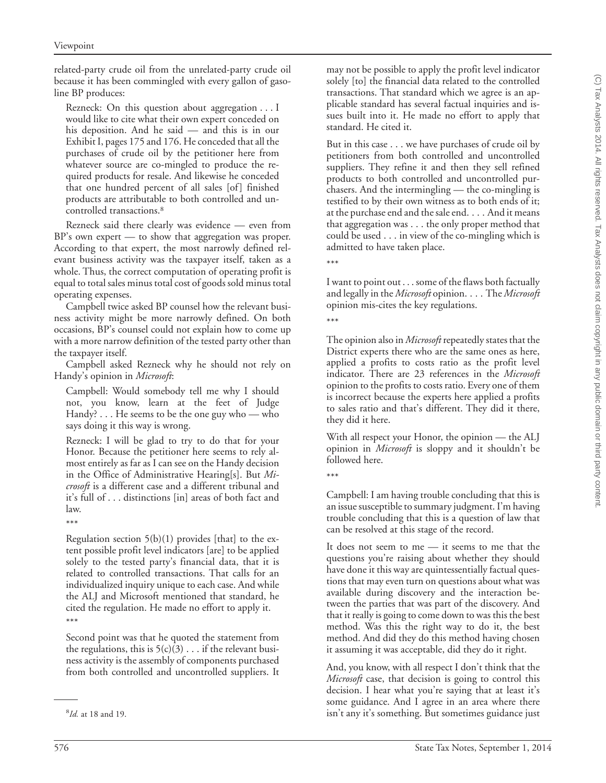related-party crude oil from the unrelated-party crude oil because it has been commingled with every gallon of gasoline BP produces:

Rezneck: On this question about aggregation...I would like to cite what their own expert conceded on his deposition. And he said — and this is in our Exhibit I, pages 175 and 176. He conceded that all the purchases of crude oil by the petitioner here from whatever source are co-mingled to produce the required products for resale. And likewise he conceded that one hundred percent of all sales [of] finished products are attributable to both controlled and uncontrolled transactions.8

Rezneck said there clearly was evidence — even from BP's own expert — to show that aggregation was proper. According to that expert, the most narrowly defined relevant business activity was the taxpayer itself, taken as a whole. Thus, the correct computation of operating profit is equal to total sales minus total cost of goods sold minus total operating expenses.

Campbell twice asked BP counsel how the relevant business activity might be more narrowly defined. On both occasions, BP's counsel could not explain how to come up with a more narrow definition of the tested party other than the taxpayer itself.

Campbell asked Rezneck why he should not rely on Handy's opinion in *Microsoft*:

Campbell: Would somebody tell me why I should not, you know, learn at the feet of Judge Handy? . . . He seems to be the one guy who — who says doing it this way is wrong.

Rezneck: I will be glad to try to do that for your Honor. Because the petitioner here seems to rely almost entirely as far as I can see on the Handy decision in the Office of Administrative Hearing[s]. But *Microsoft* is a different case and a different tribunal and it's full of... distinctions [in] areas of both fact and law.

\*\*\*

Regulation section  $5(b)(1)$  provides [that] to the extent possible profit level indicators [are] to be applied solely to the tested party's financial data, that it is related to controlled transactions. That calls for an individualized inquiry unique to each case. And while the ALJ and Microsoft mentioned that standard, he cited the regulation. He made no effort to apply it. \*\*\*

Second point was that he quoted the statement from the regulations, this is  $5(c)(3)$ ... if the relevant business activity is the assembly of components purchased from both controlled and uncontrolled suppliers. It

may not be possible to apply the profit level indicator solely [to] the financial data related to the controlled transactions. That standard which we agree is an applicable standard has several factual inquiries and issues built into it. He made no effort to apply that standard. He cited it.

But in this case . . . we have purchases of crude oil by petitioners from both controlled and uncontrolled suppliers. They refine it and then they sell refined products to both controlled and uncontrolled purchasers. And the intermingling — the co-mingling is testified to by their own witness as to both ends of it; at the purchase end and the sale end. . . . And it means that aggregation was . . . the only proper method that could be used . . . in view of the co-mingling which is admitted to have taken place.

\*\*\*

I want to point out... some of the flaws both factually and legally in the *Microsoft* opinion. . . . The *Microsoft* opinion mis-cites the key regulations.

\*\*\*

The opinion also in *Microsoft* repeatedly states that the District experts there who are the same ones as here, applied a profits to costs ratio as the profit level indicator. There are 23 references in the *Microsoft* opinion to the profits to costs ratio. Every one of them is incorrect because the experts here applied a profits to sales ratio and that's different. They did it there, they did it here.

With all respect your Honor, the opinion — the ALJ opinion in *Microsoft* is sloppy and it shouldn't be followed here.

\*\*\*

Campbell: I am having trouble concluding that this is an issue susceptible to summary judgment. I'm having trouble concluding that this is a question of law that can be resolved at this stage of the record.

It does not seem to me — it seems to me that the questions you're raising about whether they should have done it this way are quintessentially factual questions that may even turn on questions about what was available during discovery and the interaction between the parties that was part of the discovery. And that it really is going to come down to was this the best method. Was this the right way to do it, the best method. And did they do this method having chosen it assuming it was acceptable, did they do it right.

And, you know, with all respect I don't think that the *Microsoft* case, that decision is going to control this decision. I hear what you're saying that at least it's some guidance. And I agree in an area where there isn't any it's something. But sometimes guidance just <sup>8</sup>

*Id.* at 18 and 19.